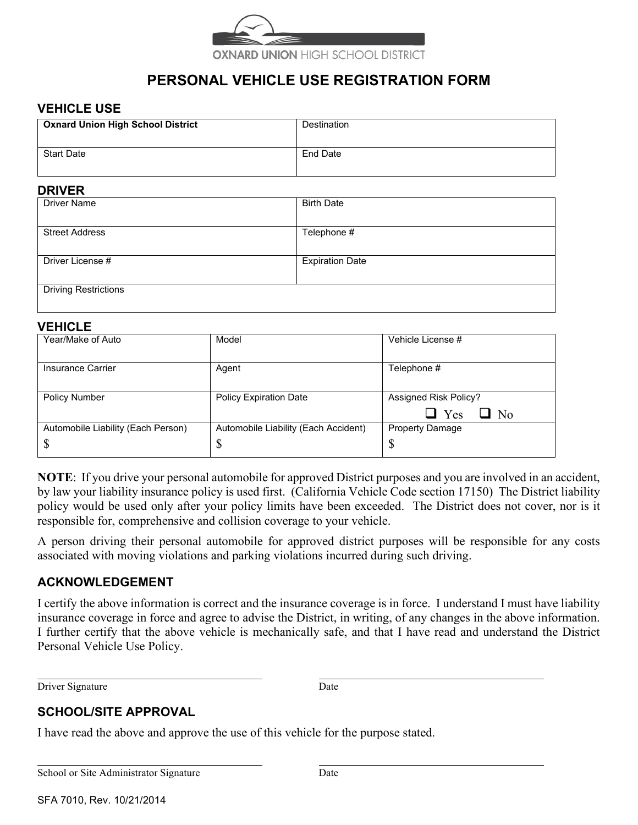

# **PERSONAL VEHICLE USE REGISTRATION FORM**

### **VEHICLE USE**

| <b>Oxnard Union High School District</b> | Destination |
|------------------------------------------|-------------|
| <b>Start Date</b>                        | End Date    |

### **DRIVER**

| --------                    |                        |  |  |
|-----------------------------|------------------------|--|--|
| <b>Driver Name</b>          | <b>Birth Date</b>      |  |  |
|                             |                        |  |  |
| <b>Street Address</b>       | Telephone #            |  |  |
|                             |                        |  |  |
| Driver License #            | <b>Expiration Date</b> |  |  |
|                             |                        |  |  |
| <b>Driving Restrictions</b> |                        |  |  |
|                             |                        |  |  |

#### **VEHICLE**

| .                                  |                                      |                                                         |
|------------------------------------|--------------------------------------|---------------------------------------------------------|
| Year/Make of Auto                  | Model                                | Vehicle License #                                       |
| Insurance Carrier                  | Agent                                | Telephone #                                             |
| <b>Policy Number</b>               | <b>Policy Expiration Date</b>        | <b>Assigned Risk Policy?</b><br>$\Box$ Yes<br>$\Box$ No |
| Automobile Liability (Each Person) | Automobile Liability (Each Accident) | <b>Property Damage</b>                                  |
| \$                                 | \$                                   | D                                                       |

**NOTE**: If you drive your personal automobile for approved District purposes and you are involved in an accident, by law your liability insurance policy is used first. (California Vehicle Code section 17150) The District liability policy would be used only after your policy limits have been exceeded. The District does not cover, nor is it responsible for, comprehensive and collision coverage to your vehicle.

A person driving their personal automobile for approved district purposes will be responsible for any costs associated with moving violations and parking violations incurred during such driving.

## **ACKNOWLEDGEMENT**

I certify the above information is correct and the insurance coverage is in force. I understand I must have liability insurance coverage in force and agree to advise the District, in writing, of any changes in the above information. I further certify that the above vehicle is mechanically safe, and that I have read and understand the District Personal Vehicle Use Policy.

Driver Signature Date

## **SCHOOL/SITE APPROVAL**

I have read the above and approve the use of this vehicle for the purpose stated.

School or Site Administrator Signature Date